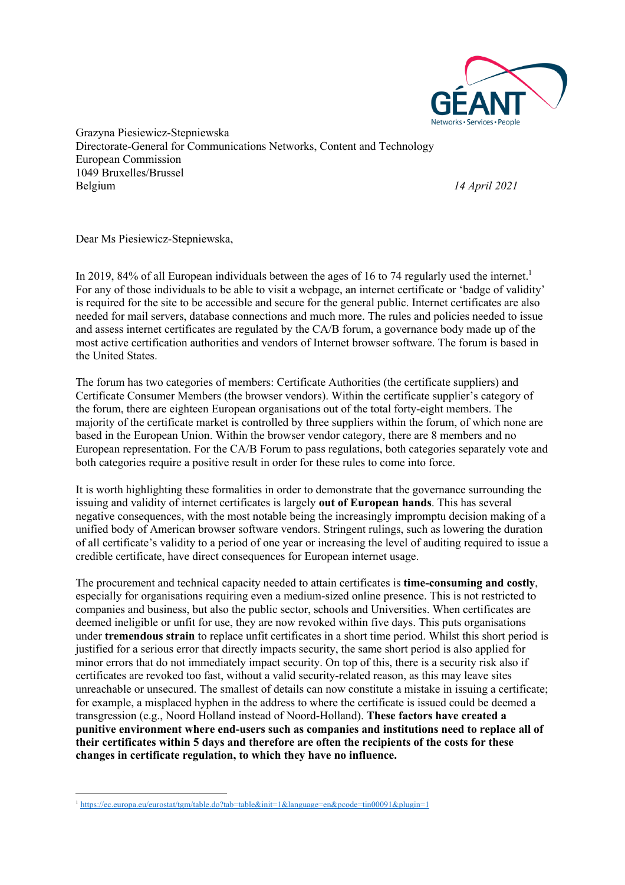

Grazyna Piesiewicz-Stepniewska Directorate-General for Communications Networks, Content and Technology European Commission 1049 Bruxelles/Brussel Belgium *14 April 2021*

Dear Ms Piesiewicz-Stepniewska,

In 2019, 84% of all European individuals between the ages of 16 to 74 regularly used the internet.<sup>1</sup> For any of those individuals to be able to visit a webpage, an internet certificate or 'badge of validity' is required for the site to be accessible and secure for the general public. Internet certificates are also needed for mail servers, database connections and much more. The rules and policies needed to issue and assess internet certificates are regulated by the CA/B forum, a governance body made up of the most active certification authorities and vendors of Internet browser software. The forum is based in the United States.

The forum has two categories of members: Certificate Authorities (the certificate suppliers) and Certificate Consumer Members (the browser vendors). Within the certificate supplier's category of the forum, there are eighteen European organisations out of the total forty-eight members. The majority of the certificate market is controlled by three suppliers within the forum, of which none are based in the European Union. Within the browser vendor category, there are 8 members and no European representation. For the CA/B Forum to pass regulations, both categories separately vote and both categories require a positive result in order for these rules to come into force.

It is worth highlighting these formalities in order to demonstrate that the governance surrounding the issuing and validity of internet certificates is largely **out of European hands**. This has several negative consequences, with the most notable being the increasingly impromptu decision making of a unified body of American browser software vendors. Stringent rulings, such as lowering the duration of all certificate's validity to a period of one year or increasing the level of auditing required to issue a credible certificate, have direct consequences for European internet usage.

The procurement and technical capacity needed to attain certificates is **time-consuming and costly**, especially for organisations requiring even a medium-sized online presence. This is not restricted to companies and business, but also the public sector, schools and Universities. When certificates are deemed ineligible or unfit for use, they are now revoked within five days. This puts organisations under **tremendous strain** to replace unfit certificates in a short time period. Whilst this short period is justified for a serious error that directly impacts security, the same short period is also applied for minor errors that do not immediately impact security. On top of this, there is a security risk also if certificates are revoked too fast, without a valid security-related reason, as this may leave sites unreachable or unsecured. The smallest of details can now constitute a mistake in issuing a certificate; for example, a misplaced hyphen in the address to where the certificate is issued could be deemed a transgression (e.g., Noord Holland instead of Noord-Holland). **These factors have created a punitive environment where end-users such as companies and institutions need to replace all of their certificates within 5 days and therefore are often the recipients of the costs for these changes in certificate regulation, to which they have no influence.** 

<sup>&</sup>lt;sup>1</sup> https://ec.europa.eu/eurostat/tgm/table.do?tab=table&init=1&language=en&pcode=tin00091&plugin=1